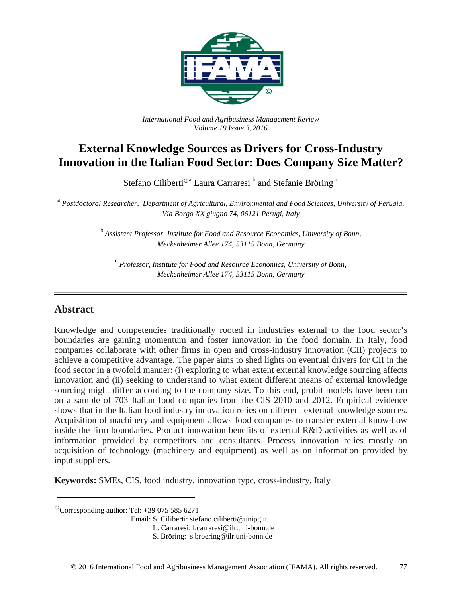

*International Food and Agribusiness Management Review Volume 19 Issue 3*, *2016*

# **External Knowledge Sources as Drivers for Cross-Industry Innovation in the Italian Food Sector: Does Company Size Matter?**

Stefano Ciliberti<sup>®a</sup> Laura Carraresi<sup>b</sup> and Stefanie Bröring<sup>c</sup>

<sup>a</sup> *Postdoctoral Researcher, Department of Agricultural, Environmental and Food Sciences, University of Perugia, Via Borgo XX giugno 74, 06121 Perugi, Italy*

> <sup>b</sup> *Assistant Professor, Institute for Food and Resource Economics, University of Bonn, Meckenheimer Allee 174, 53115 Bonn, Germany*

<sup>c</sup>*Professor, Institute for Food and Resource Economics, University of Bonn, Meckenheimer Allee 174, 53115 Bonn, Germany*

## **Abstract**

Knowledge and competencies traditionally rooted in industries external to the food sector's boundaries are gaining momentum and foster innovation in the food domain. In Italy, food companies collaborate with other firms in open and cross-industry innovation (CII) projects to achieve a competitive advantage. The paper aims to shed lights on eventual drivers for CII in the food sector in a twofold manner: (i) exploring to what extent external knowledge sourcing affects innovation and (ii) seeking to understand to what extent different means of external knowledge sourcing might differ according to the company size. To this end, probit models have been run on a sample of 703 Italian food companies from the CIS 2010 and 2012. Empirical evidence shows that in the Italian food industry innovation relies on different external knowledge sources. Acquisition of machinery and equipment allows food companies to transfer external know-how inside the firm boundaries. Product innovation benefits of external R&D activities as well as of information provided by competitors and consultants. Process innovation relies mostly on acquisition of technology (machinery and equipment) as well as on information provided by input suppliers.

**Keywords:** SMEs, CIS, food industry, innovation type, cross-industry, Italy

 $\textcirc{}$ Corresponding author: Tel: +39 075 585 6271

Email: S. Ciliberti: stefano.ciliberti@unipg.it

L. Carraresi: [l.carraresi@ilr.uni-bonn.de](mailto:l.carraresi@ilr.uni-bonn.de)

S. Bröring: s.broering@ilr.uni-bonn.de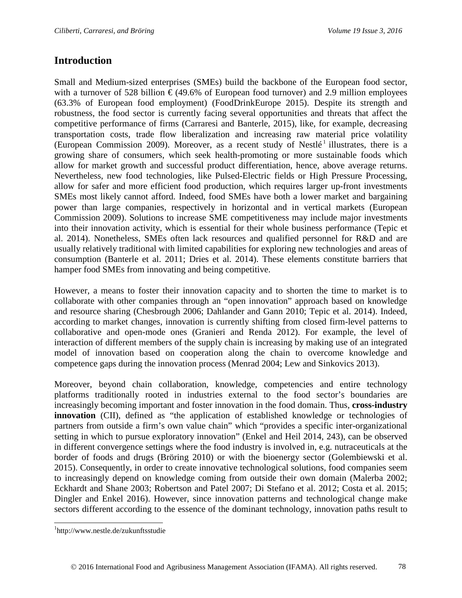# **Introduction**

Small and Medium-sized enterprises (SMEs) build the backbone of the European food sector, with a turnover of 528 billion  $\epsilon$  (49.6% of European food turnover) and 2.9 million employees (63.3% of European food employment) (FoodDrinkEurope 2015). Despite its strength and robustness, the food sector is currently facing several opportunities and threats that affect the competitive performance of firms (Carraresi and Banterle, 2015), like, for example, decreasing transportation costs, trade flow liberalization and increasing raw material price volatility (European Commission 2009). Moreover, as a recent study of Nestlé<sup>[1](#page-1-0)</sup> illustrates, there is a growing share of consumers, which seek health-promoting or more sustainable foods which allow for market growth and successful product differentiation, hence, above average returns. Nevertheless, new food technologies, like Pulsed-Electric fields or High Pressure Processing, allow for safer and more efficient food production, which requires larger up-front investments SMEs most likely cannot afford. Indeed, food SMEs have both a lower market and bargaining power than large companies, respectively in horizontal and in vertical markets (European Commission 2009). Solutions to increase SME competitiveness may include major investments into their innovation activity, which is essential for their whole business performance (Tepic et al. 2014). Nonetheless, SMEs often lack resources and qualified personnel for R&D and are usually relatively traditional with limited capabilities for exploring new technologies and areas of consumption (Banterle et al. 2011; Dries et al. 2014). These elements constitute barriers that hamper food SMEs from innovating and being competitive.

However, a means to foster their innovation capacity and to shorten the time to market is to collaborate with other companies through an "open innovation" approach based on knowledge and resource sharing (Chesbrough 2006; Dahlander and Gann 2010; Tepic et al. 2014). Indeed, according to market changes, innovation is currently shifting from closed firm-level patterns to collaborative and open-mode ones (Granieri and Renda 2012). For example, the level of interaction of different members of the supply chain is increasing by making use of an integrated model of innovation based on cooperation along the chain to overcome knowledge and competence gaps during the innovation process (Menrad 2004; Lew and Sinkovics 2013).

Moreover, beyond chain collaboration, knowledge, competencies and entire technology platforms traditionally rooted in industries external to the food sector's boundaries are increasingly becoming important and foster innovation in the food domain. Thus, **cross-industry innovation** (CII), defined as "the application of established knowledge or technologies of partners from outside a firm's own value chain" which "provides a specific inter-organizational setting in which to pursue exploratory innovation" (Enkel and Heil 2014, 243), can be observed in different convergence settings where the food industry is involved in, e.g. nutraceuticals at the border of foods and drugs (Bröring 2010) or with the bioenergy sector (Golembiewski et al. 2015). Consequently, in order to create innovative technological solutions, food companies seem to increasingly depend on knowledge coming from outside their own domain (Malerba 2002; Eckhardt and Shane 2003; Robertson and Patel 2007; Di Stefano et al. 2012; Costa et al. 2015; Dingler and Enkel 2016). However, since innovation patterns and technological change make sectors different according to the essence of the dominant technology, innovation paths result to

<span id="page-1-0"></span> <sup>1</sup> http://www.nestle.de/zukunftsstudie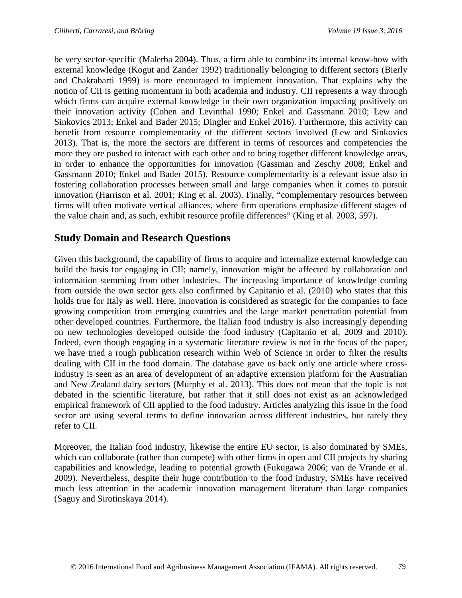be very sector-specific (Malerba 2004). Thus, a firm able to combine its internal know-how with external knowledge (Kogut and Zander 1992) traditionally belonging to different sectors (Bierly and Chakrabarti 1999) is more encouraged to implement innovation. That explains why the notion of CII is getting momentum in both academia and industry. CII represents a way through which firms can acquire external knowledge in their own organization impacting positively on their innovation activity (Cohen and Levinthal 1990; Enkel and Gassmann 2010; Lew and Sinkovics 2013; Enkel and Bader 2015; Dingler and Enkel 2016). Furthermore, this activity can benefit from resource complementarity of the different sectors involved (Lew and Sinkovics 2013). That is, the more the sectors are different in terms of resources and competencies the more they are pushed to interact with each other and to bring together different knowledge areas, in order to enhance the opportunities for innovation (Gassman and Zeschy 2008; Enkel and Gassmann 2010; Enkel and Bader 2015). Resource complementarity is a relevant issue also in fostering collaboration processes between small and large companies when it comes to pursuit innovation (Harrison et al. 2001; King et al. 2003). Finally, "complementary resources between firms will often motivate vertical alliances, where firm operations emphasize different stages of the value chain and, as such, exhibit resource profile differences" (King et al. 2003, 597).

# **Study Domain and Research Questions**

Given this background, the capability of firms to acquire and internalize external knowledge can build the basis for engaging in CII; namely, innovation might be affected by collaboration and information stemming from other industries. The increasing importance of knowledge coming from outside the own sector gets also confirmed by Capitanio et al. (2010) who states that this holds true for Italy as well. Here, innovation is considered as strategic for the companies to face growing competition from emerging countries and the large market penetration potential from other developed countries. Furthermore, the Italian food industry is also increasingly depending on new technologies developed outside the food industry (Capitanio et al. 2009 and 2010). Indeed, even though engaging in a systematic literature review is not in the focus of the paper, we have tried a rough publication research within Web of Science in order to filter the results dealing with CII in the food domain. The database gave us back only one article where crossindustry is seen as an area of development of an adaptive extension platform for the Australian and New Zealand dairy sectors (Murphy et al. 2013). This does not mean that the topic is not debated in the scientific literature, but rather that it still does not exist as an acknowledged empirical framework of CII applied to the food industry. Articles analyzing this issue in the food sector are using several terms to define innovation across different industries, but rarely they refer to CII.

Moreover, the Italian food industry, likewise the entire EU sector, is also dominated by SMEs, which can collaborate (rather than compete) with other firms in open and CII projects by sharing capabilities and knowledge, leading to potential growth (Fukugawa 2006; van de Vrande et al. 2009). Nevertheless, despite their huge contribution to the food industry, SMEs have received much less attention in the academic innovation management literature than large companies (Saguy and Sirotinskaya 2014).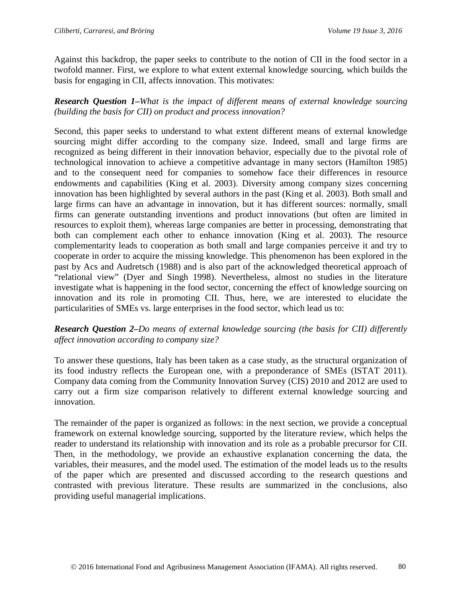Against this backdrop, the paper seeks to contribute to the notion of CII in the food sector in a twofold manner. First, we explore to what extent external knowledge sourcing, which builds the basis for engaging in CII, affects innovation. This motivates:

*Research Question 1–What is the impact of different means of external knowledge sourcing (building the basis for CII) on product and process innovation?*

Second, this paper seeks to understand to what extent different means of external knowledge sourcing might differ according to the company size. Indeed, small and large firms are recognized as being different in their innovation behavior, especially due to the pivotal role of technological innovation to achieve a competitive advantage in many sectors (Hamilton 1985) and to the consequent need for companies to somehow face their differences in resource endowments and capabilities (King et al. 2003). Diversity among company sizes concerning innovation has been highlighted by several authors in the past (King et al. 2003). Both small and large firms can have an advantage in innovation, but it has different sources: normally, small firms can generate outstanding inventions and product innovations (but often are limited in resources to exploit them), whereas large companies are better in processing, demonstrating that both can complement each other to enhance innovation (King et al. 2003). The resource complementarity leads to cooperation as both small and large companies perceive it and try to cooperate in order to acquire the missing knowledge. This phenomenon has been explored in the past by Acs and Audretsch (1988) and is also part of the acknowledged theoretical approach of "relational view" (Dyer and Singh 1998). Nevertheless, almost no studies in the literature investigate what is happening in the food sector, concerning the effect of knowledge sourcing on innovation and its role in promoting CII. Thus, here, we are interested to elucidate the particularities of SMEs vs. large enterprises in the food sector, which lead us to:

*Research Question 2–Do means of external knowledge sourcing (the basis for CII) differently affect innovation according to company size?* 

To answer these questions, Italy has been taken as a case study, as the structural organization of its food industry reflects the European one, with a preponderance of SMEs (ISTAT 2011). Company data coming from the Community Innovation Survey (CIS) 2010 and 2012 are used to carry out a firm size comparison relatively to different external knowledge sourcing and innovation.

The remainder of the paper is organized as follows: in the next section, we provide a conceptual framework on external knowledge sourcing, supported by the literature review, which helps the reader to understand its relationship with innovation and its role as a probable precursor for CII. Then, in the methodology, we provide an exhaustive explanation concerning the data, the variables, their measures, and the model used. The estimation of the model leads us to the results of the paper which are presented and discussed according to the research questions and contrasted with previous literature. These results are summarized in the conclusions, also providing useful managerial implications.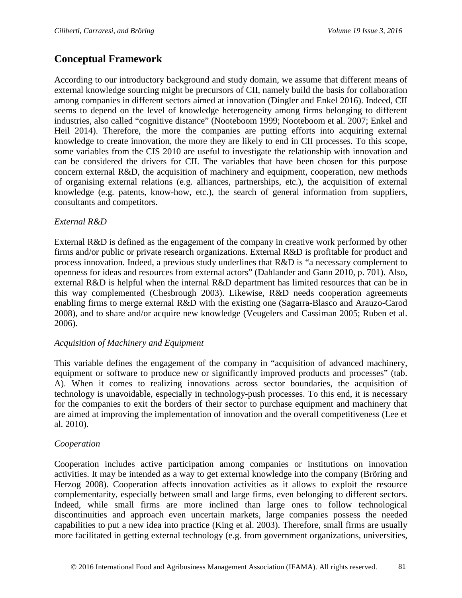# **Conceptual Framework**

According to our introductory background and study domain, we assume that different means of external knowledge sourcing might be precursors of CII, namely build the basis for collaboration among companies in different sectors aimed at innovation (Dingler and Enkel 2016). Indeed, CII seems to depend on the level of knowledge heterogeneity among firms belonging to different industries, also called "cognitive distance" (Nooteboom 1999; Nooteboom et al. 2007; Enkel and Heil 2014). Therefore, the more the companies are putting efforts into acquiring external knowledge to create innovation, the more they are likely to end in CII processes. To this scope, some variables from the CIS 2010 are useful to investigate the relationship with innovation and can be considered the drivers for CII. The variables that have been chosen for this purpose concern external R&D, the acquisition of machinery and equipment, cooperation, new methods of organising external relations (e.g. alliances, partnerships, etc.), the acquisition of external knowledge (e.g. patents, know-how, etc.), the search of general information from suppliers, consultants and competitors.

#### *External R&D*

External R&D is defined as the engagement of the company in creative work performed by other firms and/or public or private research organizations. External R&D is profitable for product and process innovation. Indeed, a previous study underlines that R&D is "a necessary complement to openness for ideas and resources from external actors" (Dahlander and Gann 2010, p. 701). Also, external R&D is helpful when the internal R&D department has limited resources that can be in this way complemented (Chesbrough 2003). Likewise, R&D needs cooperation agreements enabling firms to merge external R&D with the existing one (Sagarra-Blasco and Arauzo-Carod 2008), and to share and/or acquire new knowledge (Veugelers and Cassiman 2005; Ruben et al. 2006).

#### *Acquisition of Machinery and Equipment*

This variable defines the engagement of the company in "acquisition of advanced machinery, equipment or software to produce new or significantly improved products and processes" (tab. A). When it comes to realizing innovations across sector boundaries, the acquisition of technology is unavoidable, especially in technology-push processes. To this end, it is necessary for the companies to exit the borders of their sector to purchase equipment and machinery that are aimed at improving the implementation of innovation and the overall competitiveness (Lee et al. 2010).

#### *Cooperation*

Cooperation includes active participation among companies or institutions on innovation activities. It may be intended as a way to get external knowledge into the company (Bröring and Herzog 2008). Cooperation affects innovation activities as it allows to exploit the resource complementarity, especially between small and large firms, even belonging to different sectors. Indeed, while small firms are more inclined than large ones to follow technological discontinuities and approach even uncertain markets, large companies possess the needed capabilities to put a new idea into practice (King et al. 2003). Therefore, small firms are usually more facilitated in getting external technology (e.g. from government organizations, universities,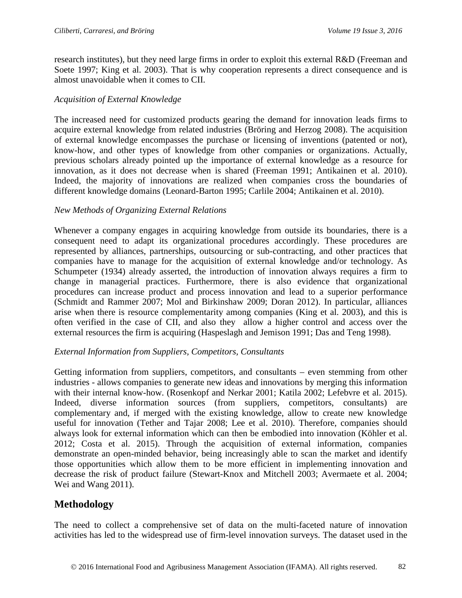research institutes), but they need large firms in order to exploit this external R&D (Freeman and Soete 1997; King et al. 2003). That is why cooperation represents a direct consequence and is almost unavoidable when it comes to CII.

#### *Acquisition of External Knowledge*

The increased need for customized products gearing the demand for innovation leads firms to acquire external knowledge from related industries (Bröring and Herzog 2008). The acquisition of external knowledge encompasses the purchase or licensing of inventions (patented or not), know-how, and other types of knowledge from other companies or organizations. Actually, previous scholars already pointed up the importance of external knowledge as a resource for innovation, as it does not decrease when is shared (Freeman 1991; Antikainen et al. 2010). Indeed, the majority of innovations are realized when companies cross the boundaries of different knowledge domains (Leonard-Barton 1995; Carlile 2004; Antikainen et al. 2010).

#### *New Methods of Organizing External Relations*

Whenever a company engages in acquiring knowledge from outside its boundaries, there is a consequent need to adapt its organizational procedures accordingly. These procedures are represented by alliances, partnerships, outsourcing or sub-contracting, and other practices that companies have to manage for the acquisition of external knowledge and/or technology. As Schumpeter (1934) already asserted, the introduction of innovation always requires a firm to change in managerial practices. Furthermore, there is also evidence that organizational procedures can increase product and process innovation and lead to a superior performance (Schmidt and Rammer 2007; Mol and Birkinshaw 2009; Doran 2012). In particular, alliances arise when there is resource complementarity among companies (King et al. 2003), and this is often verified in the case of CII, and also they allow a higher control and access over the external resources the firm is acquiring (Haspeslagh and Jemison 1991; Das and Teng 1998).

#### *External Information from Suppliers, Competitors, Consultants*

Getting information from suppliers, competitors, and consultants – even stemming from other industries - allows companies to generate new ideas and innovations by merging this information with their internal know-how. (Rosenkopf and Nerkar 2001; Katila 2002; Lefebvre et al. 2015). Indeed, diverse information sources (from suppliers, competitors, consultants) are complementary and, if merged with the existing knowledge, allow to create new knowledge useful for innovation (Tether and Tajar 2008; Lee et al. 2010). Therefore, companies should always look for external information which can then be embodied into innovation (Köhler et al. 2012; Costa et al. 2015). Through the acquisition of external information, companies demonstrate an open-minded behavior, being increasingly able to scan the market and identify those opportunities which allow them to be more efficient in implementing innovation and decrease the risk of product failure (Stewart-Knox and Mitchell 2003; Avermaete et al. 2004; Wei and Wang 2011).

## **Methodology**

The need to collect a comprehensive set of data on the multi-faceted nature of innovation activities has led to the widespread use of firm-level innovation surveys. The dataset used in the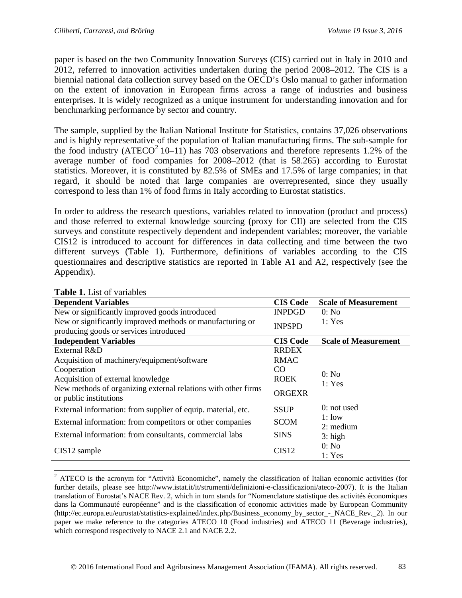paper is based on the two Community Innovation Surveys (CIS) carried out in Italy in 2010 and 2012, referred to innovation activities undertaken during the period 2008–2012. The CIS is a biennial national data collection survey based on the OECD's Oslo manual to gather information on the extent of innovation in European firms across a range of industries and business enterprises. It is widely recognized as a unique instrument for understanding innovation and for benchmarking performance by sector and country.

The sample, supplied by the Italian National Institute for Statistics, contains 37,026 observations and is highly representative of the population of Italian manufacturing firms. The sub-sample for the food industry (ATECO<sup>[2](#page-6-0)</sup> 10–11) has 703 observations and therefore represents 1.2% of the average number of food companies for 2008–2012 (that is 58.265) according to Eurostat statistics. Moreover, it is constituted by 82.5% of SMEs and 17.5% of large companies; in that regard, it should be noted that large companies are overrepresented, since they usually correspond to less than 1% of food firms in Italy according to Eurostat statistics.

In order to address the research questions, variables related to innovation (product and process) and those referred to external knowledge sourcing (proxy for CII) are selected from the CIS surveys and constitute respectively dependent and independent variables; moreover, the variable CIS12 is introduced to account for differences in data collecting and time between the two different surveys (Table 1). Furthermore, definitions of variables according to the CIS questionnaires and descriptive statistics are reported in Table A1 and A2, respectively (see the Appendix).

| <b>Dependent Variables</b>                                                              | <b>CIS Code</b> | <b>Scale of Measurement</b> |
|-----------------------------------------------------------------------------------------|-----------------|-----------------------------|
| New or significantly improved goods introduced                                          | <b>INPDGD</b>   | 0: No                       |
| New or significantly improved methods or manufacturing or                               | <b>INPSPD</b>   | 1: Yes                      |
| producing goods or services introduced                                                  |                 |                             |
| <b>Independent Variables</b>                                                            | <b>CIS Code</b> | <b>Scale of Measurement</b> |
| External R&D                                                                            | <b>RRDEX</b>    |                             |
| Acquisition of machinery/equipment/software                                             | <b>RMAC</b>     |                             |
| Cooperation                                                                             | CO.             | 0: No                       |
| Acquisition of external knowledge                                                       | <b>ROEK</b>     | 1: Yes                      |
| New methods of organizing external relations with other firms<br>or public institutions | <b>ORGEXR</b>   |                             |
| External information: from supplier of equip. material, etc.                            | <b>SSUP</b>     | $0:$ not used               |
| External information: from competitors or other companies                               | <b>SCOM</b>     | 1:low<br>$2:$ medium        |
| External information: from consultants, commercial labs                                 | <b>SINS</b>     | $3:$ high                   |
| $CIS12$ sample                                                                          | CIS12           | 0: No<br>1: Yes             |

#### **Table 1.** List of variables

<span id="page-6-0"></span><sup>&</sup>lt;sup>2</sup> ATECO is the acronym for "Attività Economiche", namely the classification of Italian economic activities (for further details, please see http://www.istat.it/it/strumenti/definizioni-e-classificazioni/ateco-2007). It is the Italian translation of Eurostat's NACE Rev. 2, which in turn stands for "Nomenclature statistique des activités économiques dans la Communauté européenne" and is the classification of economic activities made by European Community (http://ec.europa.eu/eurostat/statistics-explained/index.php/Business\_economy\_by\_sector\_-\_NACE\_Rev.\_2). In our paper we make reference to the categories ATECO 10 (Food industries) and ATECO 11 (Beverage industries), which correspond respectively to NACE 2.1 and NACE 2.2.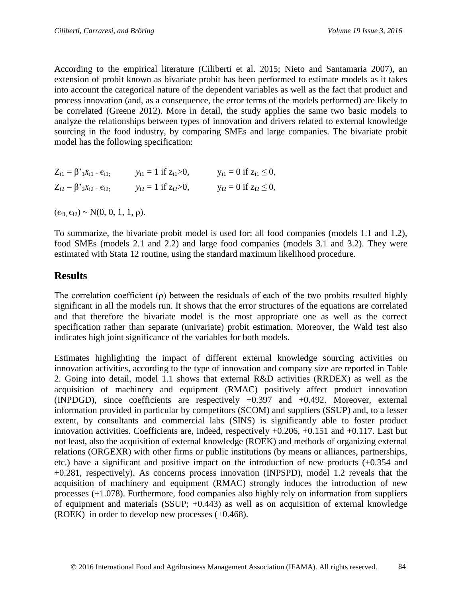According to the empirical literature (Ciliberti et al. 2015; Nieto and Santamaria 2007), an extension of probit known as bivariate probit has been performed to estimate models as it takes into account the categorical nature of the dependent variables as well as the fact that product and process innovation (and, as a consequence, the error terms of the models performed) are likely to be correlated (Greene 2012). More in detail, the study applies the same two basic models to analyze the relationships between types of innovation and drivers related to external knowledge sourcing in the food industry, by comparing SMEs and large companies. The bivariate probit model has the following specification:

| $Z_{i1} = \beta \gamma_1 X_{i1} + \epsilon_{i1};$ | $y_{i1} = 1$ if $z_{i1} > 0$ , | $y_{i1} = 0$ if $z_{i1} \le 0$ , |
|---------------------------------------------------|--------------------------------|----------------------------------|
| $Z_{i2} = \beta^{3} 2X_{i2} + \epsilon_{i2}$      | $y_{i2} = 1$ if $z_{i2} > 0$ , | $y_{i2} = 0$ if $z_{i2} \le 0$ , |

 $(\epsilon_{i1}, \epsilon_{i2}) \sim N(0, 0, 1, 1, \rho).$ 

To summarize, the bivariate probit model is used for: all food companies (models 1.1 and 1.2), food SMEs (models 2.1 and 2.2) and large food companies (models 3.1 and 3.2). They were estimated with Stata 12 routine, using the standard maximum likelihood procedure.

# **Results**

The correlation coefficient (ρ) between the residuals of each of the two probits resulted highly significant in all the models run. It shows that the error structures of the equations are correlated and that therefore the bivariate model is the most appropriate one as well as the correct specification rather than separate (univariate) probit estimation. Moreover, the Wald test also indicates high joint significance of the variables for both models.

Estimates highlighting the impact of different external knowledge sourcing activities on innovation activities, according to the type of innovation and company size are reported in Table 2. Going into detail, model 1.1 shows that external R&D activities (RRDEX) as well as the acquisition of machinery and equipment (RMAC) positively affect product innovation (INPDGD), since coefficients are respectively +0.397 and +0.492. Moreover, external information provided in particular by competitors (SCOM) and suppliers (SSUP) and, to a lesser extent, by consultants and commercial labs (SINS) is significantly able to foster product innovation activities. Coefficients are, indeed, respectively +0.206, +0.151 and +0.117. Last but not least, also the acquisition of external knowledge (ROEK) and methods of organizing external relations (ORGEXR) with other firms or public institutions (by means or alliances, partnerships, etc.) have a significant and positive impact on the introduction of new products (+0.354 and +0.281, respectively). As concerns process innovation (INPSPD), model 1.2 reveals that the acquisition of machinery and equipment (RMAC) strongly induces the introduction of new processes (+1.078). Furthermore, food companies also highly rely on information from suppliers of equipment and materials (SSUP; +0.443) as well as on acquisition of external knowledge (ROEK) in order to develop new processes (+0.468).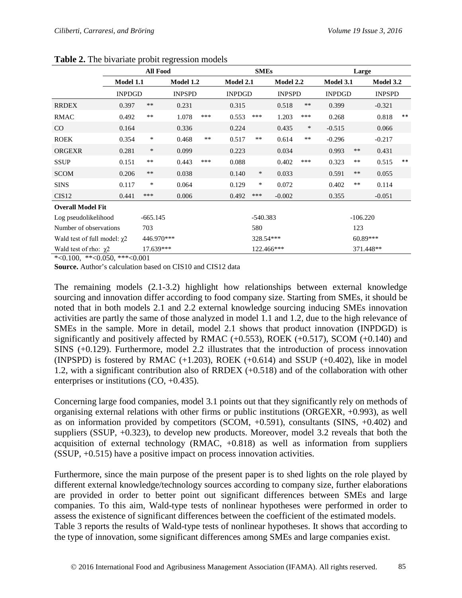|                                                                                     | <b>All Food</b> |            |                  |            | <b>SMEs</b>   |            |               | Large  |               |            |               |       |
|-------------------------------------------------------------------------------------|-----------------|------------|------------------|------------|---------------|------------|---------------|--------|---------------|------------|---------------|-------|
|                                                                                     | Model 1.1       |            | <b>Model 1.2</b> |            | Model 2.1     |            | Model 2.2     |        | Model 3.1     |            | Model 3.2     |       |
|                                                                                     | <b>INPDGD</b>   |            | <b>INPSPD</b>    |            | <b>INPDGD</b> |            | <b>INPSPD</b> |        | <b>INPDGD</b> |            | <b>INPSPD</b> |       |
| <b>RRDEX</b>                                                                        | 0.397           | $***$      | 0.231            |            | 0.315         |            | 0.518         | $***$  | 0.399         |            | $-0.321$      |       |
| <b>RMAC</b>                                                                         | 0.492           | $\ast\ast$ | 1.078            | ***        | 0.553         | ***        | 1.203         | ***    | 0.268         |            | 0.818         | $***$ |
| CO                                                                                  | 0.164           |            | 0.336            |            | 0.224         |            | 0.435         | $\ast$ | $-0.515$      |            | 0.066         |       |
| <b>ROEK</b>                                                                         | 0.354           | $\ast$     | 0.468            | **         | 0.517         | $***$      | 0.614         | $***$  | $-0.296$      |            | $-0.217$      |       |
| <b>ORGEXR</b>                                                                       | 0.281           | $\ast$     | 0.099            |            | 0.223         |            | 0.034         |        | 0.993         | $***$      | 0.431         |       |
| <b>SSUP</b>                                                                         | 0.151           | **         | 0.443            | ***        | 0.088         |            | 0.402         | ***    | 0.323         | $***$      | 0.515         | $***$ |
| <b>SCOM</b>                                                                         | 0.206           | $***$      | 0.038            |            | 0.140         | $\ast$     | 0.033         |        | 0.591         | $***$      | 0.055         |       |
| <b>SINS</b>                                                                         | 0.117           | $\ast$     | 0.064            |            | 0.129         | $\ast$     | 0.072         |        | 0.402         | $***$      | 0.114         |       |
| CIS <sub>12</sub>                                                                   | 0.441           | ***        | 0.006            |            | 0.492         | ***        | $-0.002$      |        | 0.355         |            | $-0.051$      |       |
| <b>Overall Model Fit</b>                                                            |                 |            |                  |            |               |            |               |        |               |            |               |       |
| Log pseudolikelihood                                                                |                 | $-665.145$ |                  |            |               | $-540.383$ |               |        |               | $-106.220$ |               |       |
| Number of observations                                                              |                 | 703        |                  |            |               | 580        |               |        |               | 123        |               |       |
| Wald test of full model: $\chi$ 2                                                   |                 | 446.970*** |                  |            | 328.54***     |            | $60.89***$    |        |               |            |               |       |
| 17.639***<br>Wald test of rho: $\chi$ 2<br>$*$ -0.100 $*$ $*$ -0.050 $*$ $*$ -0.001 |                 |            |                  | 122.466*** |               | 371.448**  |               |        |               |            |               |       |

| Table 2. The bivariate probit regression models |  |  |  |  |  |  |
|-------------------------------------------------|--|--|--|--|--|--|
|-------------------------------------------------|--|--|--|--|--|--|

\*<0.100, \*\*<0.050, \*\*\*<0.001

**Source.** Author's calculation based on CIS10 and CIS12 data

The remaining models (2.1-3.2) highlight how relationships between external knowledge sourcing and innovation differ according to food company size. Starting from SMEs, it should be noted that in both models 2.1 and 2.2 external knowledge sourcing inducing SMEs innovation activities are partly the same of those analyzed in model 1.1 and 1.2, due to the high relevance of SMEs in the sample. More in detail, model 2.1 shows that product innovation (INPDGD) is significantly and positively affected by RMAC  $(+0.553)$ , ROEK  $(+0.517)$ , SCOM  $(+0.140)$  and SINS (+0.129). Furthermore, model 2.2 illustrates that the introduction of process innovation (INPSPD) is fostered by RMAC  $(+1.203)$ , ROEK  $(+0.614)$  and SSUP  $(+0.402)$ , like in model 1.2, with a significant contribution also of RRDEX (+0.518) and of the collaboration with other enterprises or institutions (CO, +0.435).

Concerning large food companies, model 3.1 points out that they significantly rely on methods of organising external relations with other firms or public institutions (ORGEXR, +0.993), as well as on information provided by competitors (SCOM,  $+0.591$ ), consultants (SINS,  $+0.402$ ) and suppliers (SSUP, +0.323), to develop new products. Moreover, model 3.2 reveals that both the acquisition of external technology (RMAC, +0.818) as well as information from suppliers (SSUP, +0.515) have a positive impact on process innovation activities.

Furthermore, since the main purpose of the present paper is to shed lights on the role played by different external knowledge/technology sources according to company size, further elaborations are provided in order to better point out significant differences between SMEs and large companies. To this aim, Wald-type tests of nonlinear hypotheses were performed in order to assess the existence of significant differences between the coefficient of the estimated models. Table 3 reports the results of Wald-type tests of nonlinear hypotheses. It shows that according to the type of innovation, some significant differences among SMEs and large companies exist.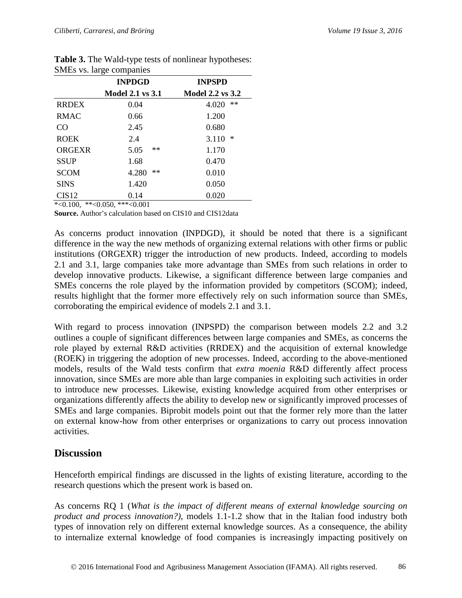|              | <b>INPDGD</b>           | <b>INPSPD</b><br><b>Model 2.2 vs 3.2</b> |  |  |
|--------------|-------------------------|------------------------------------------|--|--|
|              | <b>Model 2.1 vs 3.1</b> |                                          |  |  |
| <b>RRDEX</b> | 0.04                    | **<br>4.020                              |  |  |
| <b>RMAC</b>  | 0.66                    | 1.200                                    |  |  |
| CO           | 2.45                    | 0.680                                    |  |  |
| <b>ROEK</b>  | 2.4                     | $\ast$<br>3.110                          |  |  |
| ORGEXR       | **<br>5.05              | 1.170                                    |  |  |
| <b>SSUP</b>  | 1.68                    | 0.470                                    |  |  |
| <b>SCOM</b>  | **<br>4.280             | 0.010                                    |  |  |
| <b>SINS</b>  | 1.420                   | 0.050                                    |  |  |
| CIS12        | 0.14                    | 0.020                                    |  |  |

**Table 3.** The Wald-type tests of nonlinear hypotheses: SMEs vs. large companies

 $*<0.100, **<0.050, **<0.001$ 

**Source.** Author's calculation based on CIS10 and CIS12data

As concerns product innovation (INPDGD), it should be noted that there is a significant difference in the way the new methods of organizing external relations with other firms or public institutions (ORGEXR) trigger the introduction of new products. Indeed, according to models 2.1 and 3.1, large companies take more advantage than SMEs from such relations in order to develop innovative products. Likewise, a significant difference between large companies and SMEs concerns the role played by the information provided by competitors (SCOM); indeed, results highlight that the former more effectively rely on such information source than SMEs, corroborating the empirical evidence of models 2.1 and 3.1.

With regard to process innovation (INPSPD) the comparison between models 2.2 and 3.2 outlines a couple of significant differences between large companies and SMEs, as concerns the role played by external R&D activities (RRDEX) and the acquisition of external knowledge (ROEK) in triggering the adoption of new processes. Indeed, according to the above-mentioned models, results of the Wald tests confirm that *extra moenia* R&D differently affect process innovation, since SMEs are more able than large companies in exploiting such activities in order to introduce new processes. Likewise, existing knowledge acquired from other enterprises or organizations differently affects the ability to develop new or significantly improved processes of SMEs and large companies. Biprobit models point out that the former rely more than the latter on external know-how from other enterprises or organizations to carry out process innovation activities.

## **Discussion**

Henceforth empirical findings are discussed in the lights of existing literature, according to the research questions which the present work is based on.

As concerns RQ 1 (*What is the impact of different means of external knowledge sourcing on product and process innovation?),* models 1.1-1.2 show that in the Italian food industry both types of innovation rely on different external knowledge sources. As a consequence, the ability to internalize external knowledge of food companies is increasingly impacting positively on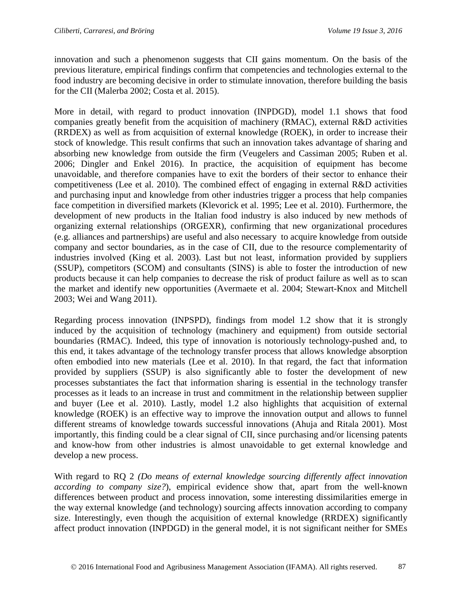innovation and such a phenomenon suggests that CII gains momentum. On the basis of the previous literature, empirical findings confirm that competencies and technologies external to the food industry are becoming decisive in order to stimulate innovation, therefore building the basis for the CII (Malerba 2002; Costa et al. 2015).

More in detail, with regard to product innovation (INPDGD), model 1.1 shows that food companies greatly benefit from the acquisition of machinery (RMAC), external R&D activities (RRDEX) as well as from acquisition of external knowledge (ROEK), in order to increase their stock of knowledge. This result confirms that such an innovation takes advantage of sharing and absorbing new knowledge from outside the firm (Veugelers and Cassiman 2005; Ruben et al. 2006; Dingler and Enkel 2016). In practice, the acquisition of equipment has become unavoidable, and therefore companies have to exit the borders of their sector to enhance their competitiveness (Lee et al. 2010). The combined effect of engaging in external R&D activities and purchasing input and knowledge from other industries trigger a process that help companies face competition in diversified markets (Klevorick et al. 1995; Lee et al. 2010). Furthermore, the development of new products in the Italian food industry is also induced by new methods of organizing external relationships (ORGEXR), confirming that new organizational procedures (e.g. alliances and partnerships) are useful and also necessary to acquire knowledge from outside company and sector boundaries, as in the case of CII, due to the resource complementarity of industries involved (King et al. 2003). Last but not least, information provided by suppliers (SSUP), competitors (SCOM) and consultants (SINS) is able to foster the introduction of new products because it can help companies to decrease the risk of product failure as well as to scan the market and identify new opportunities (Avermaete et al. 2004; Stewart-Knox and Mitchell 2003; Wei and Wang 2011).

Regarding process innovation (INPSPD), findings from model 1.2 show that it is strongly induced by the acquisition of technology (machinery and equipment) from outside sectorial boundaries (RMAC). Indeed, this type of innovation is notoriously technology-pushed and, to this end, it takes advantage of the technology transfer process that allows knowledge absorption often embodied into new materials (Lee et al. 2010). In that regard, the fact that information provided by suppliers (SSUP) is also significantly able to foster the development of new processes substantiates the fact that information sharing is essential in the technology transfer processes as it leads to an increase in trust and commitment in the relationship between supplier and buyer (Lee et al. 2010). Lastly, model 1.2 also highlights that acquisition of external knowledge (ROEK) is an effective way to improve the innovation output and allows to funnel different streams of knowledge towards successful innovations (Ahuja and Ritala 2001). Most importantly, this finding could be a clear signal of CII, since purchasing and/or licensing patents and know-how from other industries is almost unavoidable to get external knowledge and develop a new process.

With regard to RQ 2 *(Do means of external knowledge sourcing differently affect innovation according to company size?*), empirical evidence show that, apart from the well-known differences between product and process innovation, some interesting dissimilarities emerge in the way external knowledge (and technology) sourcing affects innovation according to company size. Interestingly, even though the acquisition of external knowledge (RRDEX) significantly affect product innovation (INPDGD) in the general model, it is not significant neither for SMEs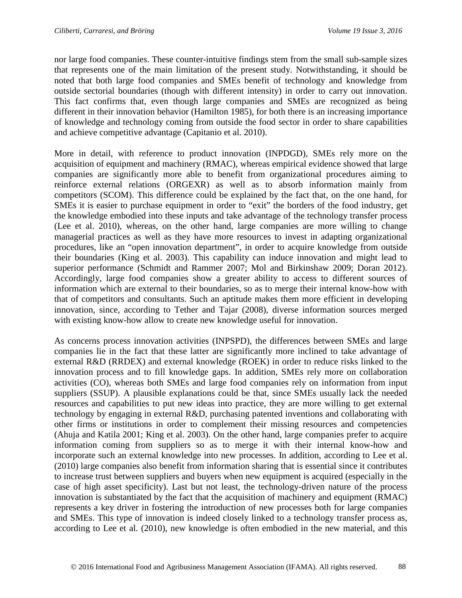nor large food companies. These counter-intuitive findings stem from the small sub-sample sizes that represents one of the main limitation of the present study. Notwithstanding, it should be noted that both large food companies and SMEs benefit of technology and knowledge from outside sectorial boundaries (though with different intensity) in order to carry out innovation. This fact confirms that, even though large companies and SMEs are recognized as being different in their innovation behavior (Hamilton 1985), for both there is an increasing importance of knowledge and technology coming from outside the food sector in order to share capabilities and achieve competitive advantage (Capitanio et al. 2010).

More in detail, with reference to product innovation (INPDGD), SMEs rely more on the acquisition of equipment and machinery (RMAC), whereas empirical evidence showed that large companies are significantly more able to benefit from organizational procedures aiming to reinforce external relations (ORGEXR) as well as to absorb information mainly from competitors (SCOM). This difference could be explained by the fact that, on the one hand, for SMEs it is easier to purchase equipment in order to "exit" the borders of the food industry, get the knowledge embodied into these inputs and take advantage of the technology transfer process (Lee et al. 2010), whereas, on the other hand, large companies are more willing to change managerial practices as well as they have more resources to invest in adapting organizational procedures, like an "open innovation department", in order to acquire knowledge from outside their boundaries (King et al. 2003). This capability can induce innovation and might lead to superior performance (Schmidt and Rammer 2007; Mol and Birkinshaw 2009; Doran 2012). Accordingly, large food companies show a greater ability to access to different sources of information which are external to their boundaries, so as to merge their internal know-how with that of competitors and consultants. Such an aptitude makes them more efficient in developing innovation, since, according to Tether and Tajar (2008), diverse information sources merged with existing know-how allow to create new knowledge useful for innovation.

As concerns process innovation activities (INPSPD), the differences between SMEs and large companies lie in the fact that these latter are significantly more inclined to take advantage of external R&D (RRDEX) and external knowledge (ROEK) in order to reduce risks linked to the innovation process and to fill knowledge gaps. In addition, SMEs rely more on collaboration activities (CO), whereas both SMEs and large food companies rely on information from input suppliers (SSUP). A plausible explanations could be that, since SMEs usually lack the needed resources and capabilities to put new ideas into practice, they are more willing to get external technology by engaging in external R&D, purchasing patented inventions and collaborating with other firms or institutions in order to complement their missing resources and competencies (Ahuja and Katila 2001; King et al. 2003). On the other hand, large companies prefer to acquire information coming from suppliers so as to merge it with their internal know-how and incorporate such an external knowledge into new processes. In addition, according to Lee et al. (2010) large companies also benefit from information sharing that is essential since it contributes to increase trust between suppliers and buyers when new equipment is acquired (especially in the case of high asset specificity). Last but not least, the technology-driven nature of the process innovation is substantiated by the fact that the acquisition of machinery and equipment (RMAC) represents a key driver in fostering the introduction of new processes both for large companies and SMEs. This type of innovation is indeed closely linked to a technology transfer process as, according to Lee et al. (2010), new knowledge is often embodied in the new material, and this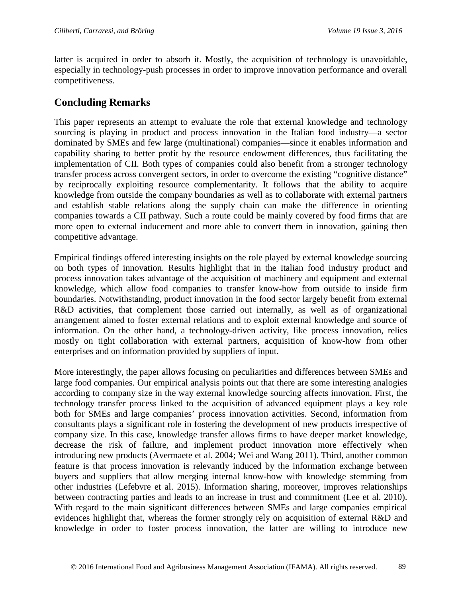latter is acquired in order to absorb it. Mostly, the acquisition of technology is unavoidable, especially in technology-push processes in order to improve innovation performance and overall competitiveness.

# **Concluding Remarks**

This paper represents an attempt to evaluate the role that external knowledge and technology sourcing is playing in product and process innovation in the Italian food industry—a sector dominated by SMEs and few large (multinational) companies—since it enables information and capability sharing to better profit by the resource endowment differences, thus facilitating the implementation of CII. Both types of companies could also benefit from a stronger technology transfer process across convergent sectors, in order to overcome the existing "cognitive distance" by reciprocally exploiting resource complementarity. It follows that the ability to acquire knowledge from outside the company boundaries as well as to collaborate with external partners and establish stable relations along the supply chain can make the difference in orienting companies towards a CII pathway. Such a route could be mainly covered by food firms that are more open to external inducement and more able to convert them in innovation, gaining then competitive advantage.

Empirical findings offered interesting insights on the role played by external knowledge sourcing on both types of innovation. Results highlight that in the Italian food industry product and process innovation takes advantage of the acquisition of machinery and equipment and external knowledge, which allow food companies to transfer know-how from outside to inside firm boundaries. Notwithstanding, product innovation in the food sector largely benefit from external R&D activities, that complement those carried out internally, as well as of organizational arrangement aimed to foster external relations and to exploit external knowledge and source of information. On the other hand, a technology-driven activity, like process innovation, relies mostly on tight collaboration with external partners, acquisition of know-how from other enterprises and on information provided by suppliers of input.

More interestingly, the paper allows focusing on peculiarities and differences between SMEs and large food companies. Our empirical analysis points out that there are some interesting analogies according to company size in the way external knowledge sourcing affects innovation. First, the technology transfer process linked to the acquisition of advanced equipment plays a key role both for SMEs and large companies' process innovation activities. Second, information from consultants plays a significant role in fostering the development of new products irrespective of company size. In this case, knowledge transfer allows firms to have deeper market knowledge, decrease the risk of failure, and implement product innovation more effectively when introducing new products (Avermaete et al. 2004; Wei and Wang 2011). Third, another common feature is that process innovation is relevantly induced by the information exchange between buyers and suppliers that allow merging internal know-how with knowledge stemming from other industries (Lefebvre et al. 2015). Information sharing, moreover, improves relationships between contracting parties and leads to an increase in trust and commitment (Lee et al. 2010). With regard to the main significant differences between SMEs and large companies empirical evidences highlight that, whereas the former strongly rely on acquisition of external R&D and knowledge in order to foster process innovation, the latter are willing to introduce new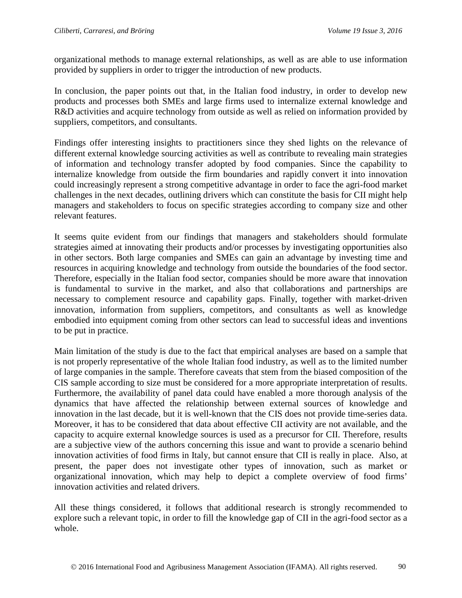organizational methods to manage external relationships, as well as are able to use information provided by suppliers in order to trigger the introduction of new products.

In conclusion, the paper points out that, in the Italian food industry, in order to develop new products and processes both SMEs and large firms used to internalize external knowledge and R&D activities and acquire technology from outside as well as relied on information provided by suppliers, competitors, and consultants.

Findings offer interesting insights to practitioners since they shed lights on the relevance of different external knowledge sourcing activities as well as contribute to revealing main strategies of information and technology transfer adopted by food companies. Since the capability to internalize knowledge from outside the firm boundaries and rapidly convert it into innovation could increasingly represent a strong competitive advantage in order to face the agri-food market challenges in the next decades, outlining drivers which can constitute the basis for CII might help managers and stakeholders to focus on specific strategies according to company size and other relevant features.

It seems quite evident from our findings that managers and stakeholders should formulate strategies aimed at innovating their products and/or processes by investigating opportunities also in other sectors. Both large companies and SMEs can gain an advantage by investing time and resources in acquiring knowledge and technology from outside the boundaries of the food sector. Therefore, especially in the Italian food sector, companies should be more aware that innovation is fundamental to survive in the market, and also that collaborations and partnerships are necessary to complement resource and capability gaps. Finally, together with market-driven innovation, information from suppliers, competitors, and consultants as well as knowledge embodied into equipment coming from other sectors can lead to successful ideas and inventions to be put in practice.

Main limitation of the study is due to the fact that empirical analyses are based on a sample that is not properly representative of the whole Italian food industry, as well as to the limited number of large companies in the sample. Therefore caveats that stem from the biased composition of the CIS sample according to size must be considered for a more appropriate interpretation of results. Furthermore, the availability of panel data could have enabled a more thorough analysis of the dynamics that have affected the relationship between external sources of knowledge and innovation in the last decade, but it is well-known that the CIS does not provide time-series data. Moreover, it has to be considered that data about effective CII activity are not available, and the capacity to acquire external knowledge sources is used as a precursor for CII. Therefore, results are a subjective view of the authors concerning this issue and want to provide a scenario behind innovation activities of food firms in Italy, but cannot ensure that CII is really in place. Also, at present, the paper does not investigate other types of innovation, such as market or organizational innovation, which may help to depict a complete overview of food firms' innovation activities and related drivers.

All these things considered, it follows that additional research is strongly recommended to explore such a relevant topic, in order to fill the knowledge gap of CII in the agri-food sector as a whole.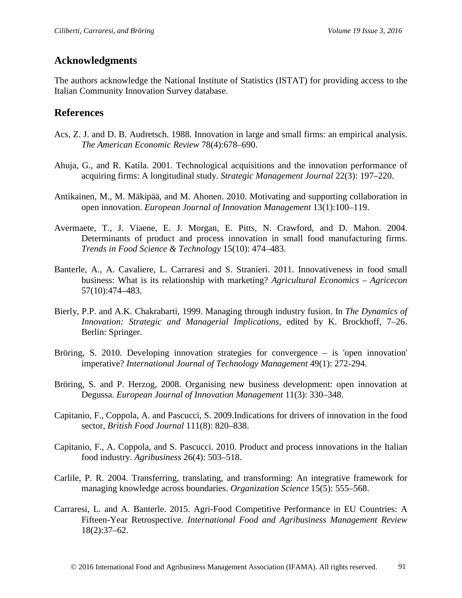## **Acknowledgments**

The authors acknowledge the National Institute of Statistics (ISTAT) for providing access to the Italian Community Innovation Survey database.

#### **References**

- Acs, Z. J. and D. B. Audretsch. 1988. Innovation in large and small firms: an empirical analysis. *The American Economic Review* 78(4):678–690.
- Ahuja, G., and R. Katila. 2001. Technological acquisitions and the innovation performance of acquiring firms: A longitudinal study. *Strategic Management Journal* 22(3): 197–220.
- Antikainen, M., M. Mäkipää, and M. Ahonen. 2010. Motivating and supporting collaboration in open innovation. *European Journal of Innovation Management* 13(1):100–119.
- Avermaete, T., J. Viaene, E. J. Morgan, E. Pitts, N. Crawford, and D. Mahon. 2004. Determinants of product and process innovation in small food manufacturing firms. *Trends in Food Science & Technology* 15(10): 474–483.
- Banterle, A., A. Cavaliere, L. Carraresi and S. Stranieri. 2011. Innovativeness in food small business: What is its relationship with marketing? *Agricultural Economics – Agricecon* 57(10):474–483.
- Bierly, P.P. and A.K. Chakrabarti, 1999. Managing through industry fusion. In *The Dynamics of Innovation: Strategic and Managerial Implications,* edited by K. Brockhoff, 7–26. Berlin: Springer.
- Bröring, S. 2010. Developing innovation strategies for convergence is 'open innovation' imperative? *International Journal of Technology Management* 49(1): 272-294.
- Bröring, S. and P. Herzog, 2008. Organising new business development: open innovation at Degussa. *European Journal of Innovation Management* 11(3): 330–348.
- Capitanio, F., Coppola, A. and Pascucci, S. 2009.Indications for drivers of innovation in the food sector, *British Food Journal* 111(8): 820–838.
- Capitanio, F., A. Coppola, and S. Pascucci. 2010. Product and process innovations in the Italian food industry. *Agribusiness* 26(4): 503–518.
- Carlile, P. R. 2004. Transferring, translating, and transforming: An integrative framework for managing knowledge across boundaries. *Organization Science* 15(5): 555–568.
- Carraresi, L. and A. Banterle. 2015. Agri-Food Competitive Performance in EU Countries: A Fifteen-Year Retrospective. *International Food and Agribusiness Management Review* 18(2):37–62.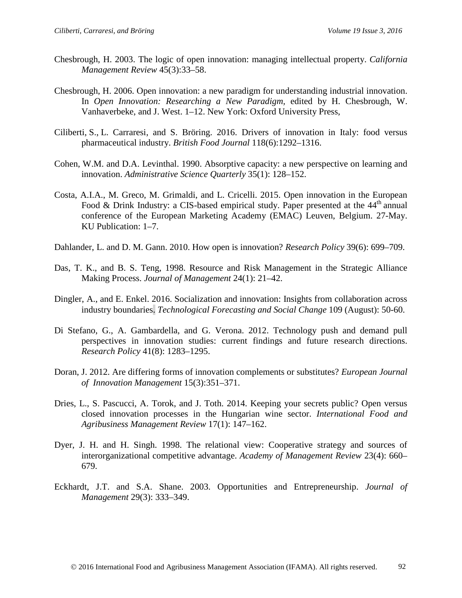- Chesbrough, H. 2003. The logic of open innovation: managing intellectual property. *California Management Review* 45(3):33–58.
- Chesbrough, H. 2006. Open innovation: a new paradigm for understanding industrial innovation. In *Open Innovation: Researching a New Paradigm,* edited by H. Chesbrough, W. Vanhaverbeke, and J. West. 1–12. New York: Oxford University Press,
- Ciliberti, S., L. Carraresi, and S. Bröring. 2016. Drivers of innovation in Italy: food versus pharmaceutical industry. *British Food Journal* 118(6):1292–1316.
- Cohen, W.M. and D.A. Levinthal. 1990. Absorptive capacity: a new perspective on learning and innovation. *Administrative Science Quarterly* 35(1): 128–152.
- Costa, A.I.A., M. Greco, M. Grimaldi, and L. Cricelli. 2015. Open innovation in the European Food & Drink Industry: a CIS-based empirical study. Paper presented at the  $44<sup>th</sup>$  annual conference of the European Marketing Academy (EMAC) Leuven, Belgium. 27-May. KU Publication: 1–7.
- Dahlander, L. and D. M. Gann. 2010. How open is innovation? *Research Policy* 39(6): 699–709.
- Das, T. K., and B. S. Teng, 1998. Resource and Risk Management in the Strategic Alliance Making Process. *Journal of Management* 24(1): 21–42.
- Dingler, A., and E. Enkel. 2016. Socialization and innovation: Insights from collaboration across industry boundaries. *Technological Forecasting and Social Change* 109 (August): 50-60.
- Di Stefano, G., A. Gambardella, and G. Verona. 2012. Technology push and demand pull perspectives in innovation studies: current findings and future research directions. *Research Policy* 41(8): 1283–1295.
- Doran, J. 2012. Are differing forms of innovation complements or substitutes? *European Journal of Innovation Management* 15(3):351–371.
- Dries, L., S. Pascucci, A. Torok, and J. Toth. 2014. Keeping your secrets public? Open versus closed innovation processes in the Hungarian wine sector. *International Food and Agribusiness Management Review* 17(1): 147–162.
- Dyer, J. H. and H. Singh. 1998. The relational view: Cooperative strategy and sources of interorganizational competitive advantage. *Academy of Management Review* 23(4): 660– 679.
- Eckhardt, J.T. and S.A. Shane. 2003. Opportunities and Entrepreneurship. *Journal of Management* 29(3): 333–349.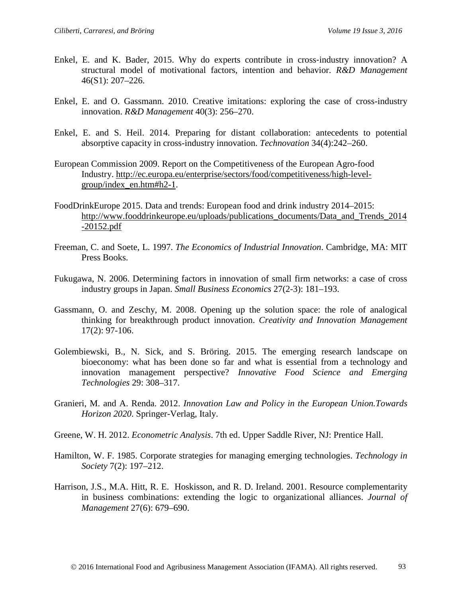- Enkel, E. and K. Bader, 2015. Why do experts contribute in cross-industry innovation? A structural model of motivational factors, intention and behavior. *R&D Management* 46(S1): 207–226.
- Enkel, E. and O. Gassmann. 2010. Creative imitations: exploring the case of cross-industry innovation. *R&D Management* 40(3): 256–270.
- Enkel, E. and S. Heil. 2014. Preparing for distant collaboration: antecedents to potential absorptive capacity in cross-industry innovation. *Technovation* 34(4):242–260.
- European Commission 2009. Report on the Competitiveness of the European Agro-food Industry. [http://ec.europa.eu/enterprise/sectors/food/competitiveness/high-level](http://ec.europa.eu/enterprise/sectors/food/competitiveness/high-level-group/index_en.htm#h2-1)[group/index\\_en.htm#h2-1.](http://ec.europa.eu/enterprise/sectors/food/competitiveness/high-level-group/index_en.htm#h2-1)
- FoodDrinkEurope 2015. Data and trends: European food and drink industry 2014–2015: [http://www.fooddrinkeurope.eu/uploads/publications\\_documents/Data\\_and\\_Trends\\_2014](http://www.fooddrinkeurope.eu/uploads/publications_documents/Data_and_Trends_2014-20152.pdf) [-20152.pdf](http://www.fooddrinkeurope.eu/uploads/publications_documents/Data_and_Trends_2014-20152.pdf)
- Freeman, C. and Soete, L. 1997. *The Economics of Industrial Innovation*. Cambridge, MA: MIT Press Books.
- Fukugawa, N. 2006. Determining factors in innovation of small firm networks: a case of cross industry groups in Japan. *Small Business Economics* 27(2-3): 181–193.
- Gassmann, O. and Zeschy, M. 2008. Opening up the solution space: the role of analogical thinking for breakthrough product innovation. *Creativity and Innovation Management* 17(2): 97-106.
- Golembiewski, B., N. Sick, and S. Bröring. 2015. The emerging research landscape on bioeconomy: what has been done so far and what is essential from a technology and innovation management perspective? *Innovative Food Science and Emerging Technologies* 29: 308–317.
- Granieri, M. and A. Renda. 2012. *Innovation Law and Policy in the European Union.Towards Horizon 2020*. Springer-Verlag, Italy.
- Greene, W. H. 2012. *Econometric Analysis*. 7th ed. Upper Saddle River, NJ: Prentice Hall.
- Hamilton, W. F. 1985. Corporate strategies for managing emerging technologies. *Technology in Society* 7(2): 197–212.
- Harrison, J.S., M.A. Hitt, R. E. Hoskisson, and R. D. Ireland. 2001. Resource complementarity in business combinations: extending the logic to organizational alliances. *Journal of Management* 27(6): 679–690.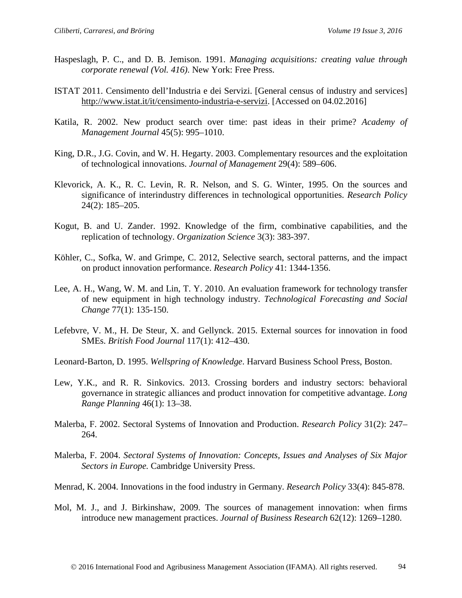- Haspeslagh, P. C., and D. B. Jemison. 1991. *Managing acquisitions: creating value through corporate renewal (Vol. 416)*. New York: Free Press.
- ISTAT 2011. Censimento dell'Industria e dei Servizi. [General census of industry and services] [http://www.istat.it/it/censimento-industria-e-servizi.](http://www.istat.it/it/censimento-industria-e-servizi) [Accessed on 04.02.2016]
- Katila, R. 2002. New product search over time: past ideas in their prime? *Academy of Management Journal* 45(5): 995–1010.
- King, D.R., J.G. Covin, and W. H. Hegarty. 2003. Complementary resources and the exploitation of technological innovations. *Journal of Management* 29(4): 589–606.
- Klevorick, A. K., R. C. Levin, R. R. Nelson, and S. G. Winter, 1995. On the sources and significance of interindustry differences in technological opportunities. *Research Policy* 24(2): 185–205.
- Kogut, B. and U. Zander. 1992. Knowledge of the firm, combinative capabilities, and the replication of technology. *Organization Science* 3(3): 383-397.
- Köhler, C., Sofka, W. and Grimpe, C. 2012, Selective search, sectoral patterns, and the impact on product innovation performance. *Research Policy* 41: 1344-1356.
- Lee, A. H., Wang, W. M. and Lin, T. Y. 2010. An evaluation framework for technology transfer of new equipment in high technology industry. *Technological Forecasting and Social Change* 77(1): 135-150.
- Lefebvre, V. M., H. De Steur, X. and Gellynck. 2015. External sources for innovation in food SMEs. *British Food Journal* 117(1): 412–430.

Leonard-Barton, D. 1995. *Wellspring of Knowledge*. Harvard Business School Press, Boston.

- Lew, Y.K., and R. R. Sinkovics. 2013. Crossing borders and industry sectors: behavioral governance in strategic alliances and product innovation for competitive advantage. *Long Range Planning* 46(1): 13–38.
- Malerba, F. 2002. Sectoral Systems of Innovation and Production. *Research Policy* 31(2): 247– 264.
- Malerba, F. 2004. *Sectoral Systems of Innovation: Concepts, Issues and Analyses of Six Major Sectors in Europe.* Cambridge University Press.
- Menrad, K. 2004. Innovations in the food industry in Germany. *Research Policy* 33(4): 845-878.
- Mol, M. J., and J. Birkinshaw, 2009. The sources of management innovation: when firms introduce new management practices. *Journal of Business Research* 62(12): 1269–1280.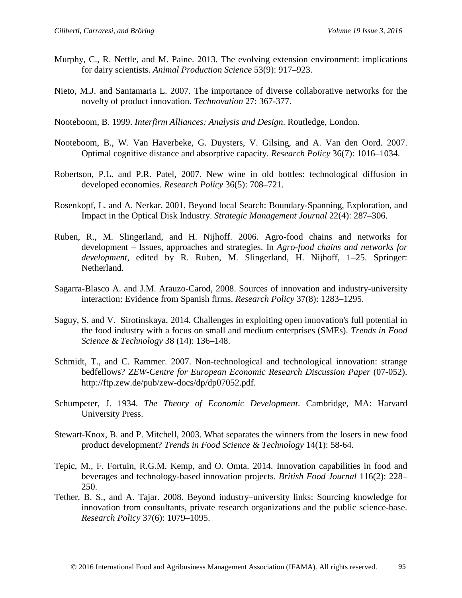- Murphy, C., R. Nettle, and M. Paine. 2013. The evolving extension environment: implications for dairy scientists. *Animal Production Science* 53(9): 917–923.
- Nieto, M.J. and Santamaria L. 2007. The importance of diverse collaborative networks for the novelty of product innovation. *Technovation* 27: 367-377.
- Nooteboom, B. 1999. *Interfirm Alliances: Analysis and Design*. Routledge, London.
- Nooteboom, B., W. Van Haverbeke, G. Duysters, V. Gilsing, and A. Van den Oord. 2007. Optimal cognitive distance and absorptive capacity. *Research Policy* 36(7): 1016–1034.
- Robertson, P.L. and P.R. Patel, 2007. New wine in old bottles: technological diffusion in developed economies. *Research Policy* 36(5): 708–721.
- Rosenkopf, L. and A. Nerkar. 2001. Beyond local Search: Boundary-Spanning, Exploration, and Impact in the Optical Disk Industry. *Strategic Management Journal* 22(4): 287–306.
- Ruben, R., M. Slingerland, and H. Nijhoff. 2006. Agro-food chains and networks for development – Issues, approaches and strategies. In *Agro-food chains and networks for development*, edited by R. Ruben, M. Slingerland, H. Nijhoff, 1–25. Springer: Netherland.
- Sagarra-Blasco A. and J.M. Arauzo-Carod, 2008. Sources of innovation and industry-university interaction: Evidence from Spanish firms. *Research Policy* 37(8): 1283–1295.
- Saguy, S. and V. Sirotinskaya, 2014. Challenges in exploiting open innovation's full potential in the food industry with a focus on small and medium enterprises (SMEs). *Trends in Food Science & Technology* 38 (14): 136–148.
- Schmidt, T., and C. Rammer. 2007. Non-technological and technological innovation: strange bedfellows? *ZEW-Centre for European Economic Research Discussion Paper* (07-052). http://ftp.zew.de/pub/zew-docs/dp/dp07052.pdf.
- Schumpeter, J. 1934. *The Theory of Economic Development*. Cambridge, MA: Harvard University Press.
- Stewart-Knox, B. and P. Mitchell, 2003. What separates the winners from the losers in new food product development? *Trends in Food Science & Technology* 14(1): 58-64.
- Tepic, M., F. Fortuin, R.G.M. Kemp, and O. Omta. 2014. Innovation capabilities in food and beverages and technology-based innovation projects. *British Food Journal* 116(2): 228– 250.
- Tether, B. S., and A. Tajar. 2008. Beyond industry–university links: Sourcing knowledge for innovation from consultants, private research organizations and the public science-base. *Research Policy* 37(6): 1079–1095.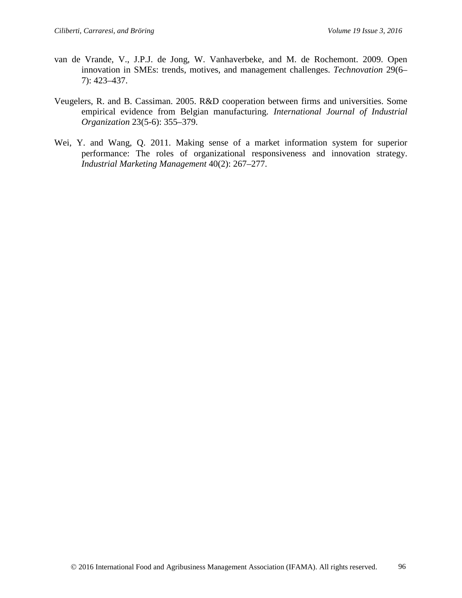- van de Vrande, V., J.P.J. de Jong, W. Vanhaverbeke, and M. de Rochemont. 2009. Open innovation in SMEs: trends, motives, and management challenges. *Technovation* 29(6– 7): 423–437.
- Veugelers, R. and B. Cassiman. 2005. R&D cooperation between firms and universities. Some empirical evidence from Belgian manufacturing. *International Journal of Industrial Organization* 23(5-6): 355–379.
- Wei, Y. and Wang, Q. 2011. Making sense of a market information system for superior performance: The roles of organizational responsiveness and innovation strategy. *Industrial Marketing Management* 40(2): 267–277.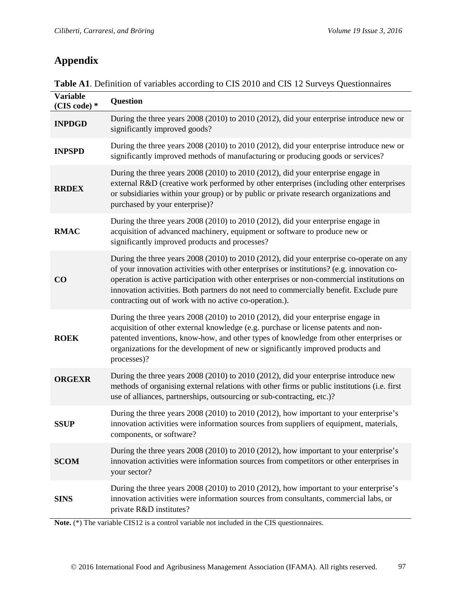# **Appendix**

| Table A1. Definition of variables according to CIS 2010 and CIS 12 Surveys Questionnaires |  |  |
|-------------------------------------------------------------------------------------------|--|--|
|-------------------------------------------------------------------------------------------|--|--|

| <b>Variable</b><br>(CIS code) * | <b>Question</b>                                                                                                                                                                                                                                                                                                                                                                                                                          |
|---------------------------------|------------------------------------------------------------------------------------------------------------------------------------------------------------------------------------------------------------------------------------------------------------------------------------------------------------------------------------------------------------------------------------------------------------------------------------------|
| <b>INPDGD</b>                   | During the three years 2008 (2010) to 2010 (2012), did your enterprise introduce new or<br>significantly improved goods?                                                                                                                                                                                                                                                                                                                 |
| <b>INPSPD</b>                   | During the three years 2008 (2010) to 2010 (2012), did your enterprise introduce new or<br>significantly improved methods of manufacturing or producing goods or services?                                                                                                                                                                                                                                                               |
| <b>RRDEX</b>                    | During the three years 2008 (2010) to 2010 (2012), did your enterprise engage in<br>external R&D (creative work performed by other enterprises (including other enterprises<br>or subsidiaries within your group) or by public or private research organizations and<br>purchased by your enterprise)?                                                                                                                                   |
| <b>RMAC</b>                     | During the three years 2008 (2010) to 2010 (2012), did your enterprise engage in<br>acquisition of advanced machinery, equipment or software to produce new or<br>significantly improved products and processes?                                                                                                                                                                                                                         |
| $\bf CO$                        | During the three years 2008 (2010) to 2010 (2012), did your enterprise co-operate on any<br>of your innovation activities with other enterprises or institutions? (e.g. innovation co-<br>operation is active participation with other enterprises or non-commercial institutions on<br>innovation activities. Both partners do not need to commercially benefit. Exclude pure<br>contracting out of work with no active co-operation.). |
| <b>ROEK</b>                     | During the three years 2008 (2010) to 2010 (2012), did your enterprise engage in<br>acquisition of other external knowledge (e.g. purchase or license patents and non-<br>patented inventions, know-how, and other types of knowledge from other enterprises or<br>organizations for the development of new or significantly improved products and<br>processes)?                                                                        |
| <b>ORGEXR</b>                   | During the three years 2008 (2010) to 2010 (2012), did your enterprise introduce new<br>methods of organising external relations with other firms or public institutions (i.e. first<br>use of alliances, partnerships, outsourcing or sub-contracting, etc.)?                                                                                                                                                                           |
| <b>SSUP</b>                     | During the three years 2008 (2010) to 2010 (2012), how important to your enterprise's<br>innovation activities were information sources from suppliers of equipment, materials,<br>components, or software?                                                                                                                                                                                                                              |
| <b>SCOM</b>                     | During the three years 2008 (2010) to 2010 (2012), how important to your enterprise's<br>innovation activities were information sources from competitors or other enterprises in<br>your sector?                                                                                                                                                                                                                                         |
| <b>SINS</b>                     | During the three years 2008 (2010) to 2010 (2012), how important to your enterprise's<br>innovation activities were information sources from consultants, commercial labs, or<br>private R&D institutes?                                                                                                                                                                                                                                 |

**Note.** (\*) The variable CIS12 is a control variable not included in the CIS questionnaires.